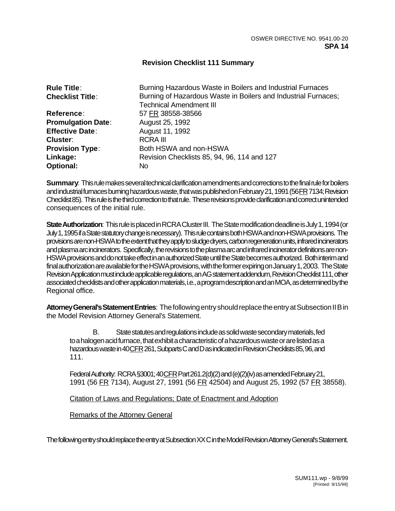## **Revision Checklist 111 Summary**

| <b>Rule Title:</b>        | Burning Hazardous Waste in Boilers and Industrial Furnaces     |
|---------------------------|----------------------------------------------------------------|
| <b>Checklist Title:</b>   | Burning of Hazardous Waste in Boilers and Industrial Furnaces; |
|                           | <b>Technical Amendment III</b>                                 |
| Reference:                | 57 FR 38558-38566                                              |
| <b>Promulgation Date:</b> | August 25, 1992                                                |
| <b>Effective Date:</b>    | August 11, 1992                                                |
| Cluster:                  | <b>RCRA III</b>                                                |
| <b>Provision Type:</b>    | Both HSWA and non-HSWA                                         |
| Linkage:                  | Revision Checklists 85, 94, 96, 114 and 127                    |
| <b>Optional:</b>          | No.                                                            |

**Summary**: This rule makes several technical clarification amendments and corrections to the final rule for boilers and industrial furnaces burning hazardous waste, that was published on February 21, 1991 (56 FR 7134; Revision Checklist 85). This rule is the third correction to that rule. These revisions provide clarification and correct unintended consequences of the initial rule.

**State Authorization**: This rule is placed in RCRA Cluster III. The State modification deadline is July 1, 1994 (or July 1, 1995 if a State statutory change is necessary). This rule contains both HSWA and non-HSWA provisions. The provisions are non-HSWA to the extent that they apply to sludge dryers, carbon regeneration units, infrared incinerators and plasma arc incinerators. Specifically, the revisions to the plasma arc and infrared incinerator definitions are non-HSWA provisions and do not take effect in an authorized State until the State becomes authorized. Both interim and final authorization are available for the HSWA provisions, with the former expiring on January 1, 2003. The State Revision Application must include applicable regulations, an AG statement addendum, Revision Checklist 111, other associated checklists and other application materials, i.e., a program description and an MOA, as determined by the Regional office.

**Attorney General's Statement Entries**: The following entry should replace the entry at Subsection II B in the Model Revision Attorney General's Statement.

B. State statutes and regulations include as solid waste secondary materials, fed to a halogen acid furnace, that exhibit a characteristic of a hazardous waste or are listed as a hazardous waste in 40 CFR 261, Subparts C and D as indicated in Revision Checklists 85, 96, and 111.

Federal Authority: RCRA §3001; 40 CFR Part 261.2(d)(2) and (e)(2)(iv) as amended February 21, 1991 (56 FR 7134), August 27, 1991 (56 FR 42504) and August 25, 1992 (57 FR 38558).

Citation of Laws and Regulations; Date of Enactment and Adoption

Remarks of the Attorney General

The following entry should replace the entry at Subsection XX C in the Model Revision Attorney General's Statement.